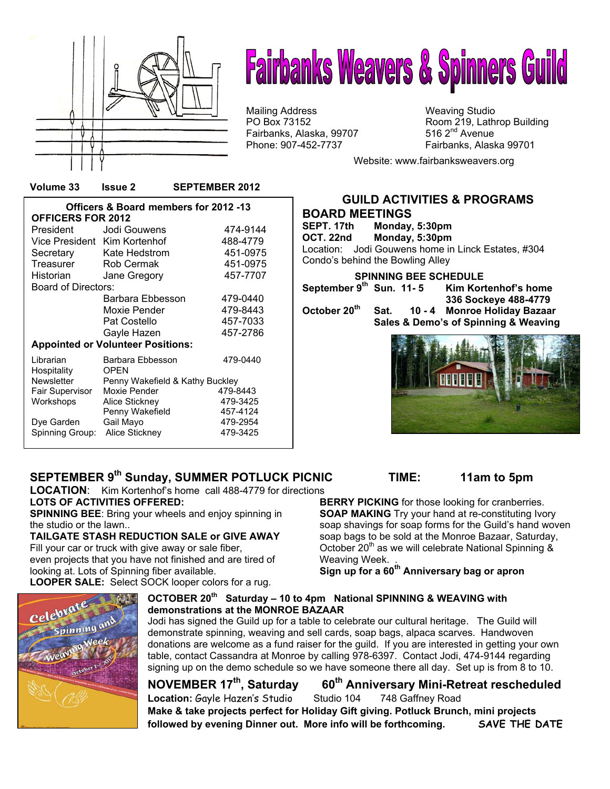

# **Fairbanks Weavers & Spinners Guild**

Mailing Address Mailing Studio<br>
PO Box 73152 May 19, Lath Fairbanks, Alaska, 99707

Room 219, Lathrop Building 516  $2<sup>nd</sup>$  Avenue Phone: 907-452-7737 Fairbanks, Alaska 99701

Website: www.fairbanksweavers.org

**Officers & Board members for 2012 -13 OFFICERS FOR 2012**  President Jodi Gouwens 474-9144 Vice President Kim Kortenhof 488-4779 Secretary Kate Hedstrom 451-0975<br>Treasurer Rob Cermak 451-0975 Rob Cermak 451-0975 Historian Jane Gregory 457-7707 Board of Directors: Barbara Ebbesson 479-0440 Moxie Pender 479-8443 Pat Costello 457-7033 Gayle Hazen 457-2786 **Appointed or Volunteer Positions:** Librarian Barbara Ebbesson 479-0440 Hospitality OPEN Newsletter Penny Wakefield & Kathy Buckley<br>Fair Supervisor Moxie Pender 479-8443 Fair Supervisor Moxie Pender 479-8443<br>
Workshops Alice Stickney 479-3425 Alice Stickney **479-3425**<br>Penny Wakefield 457-4124 Penny Wakefield **457-4124**<br>Gail Mayo 479-2954 Dye Garden Gail Mayo 479-2954 Spinning Group: Alice Stickney

**Volume 33 Issue 2 SEPTEMBER 2012** 

### **GUILD ACTIVITIES & PROGRAMS**

**BOARD MEETINGS Monday, 5:30pm OCT. 22nd Monday, 5:30pm**  Location: Jodi Gouwens home in Linck Estates, #304 Condo's behind the Bowling Alley  **SPINNING BEE SCHEDULE**  September 9<sup>th</sup> Sun. 11-5 Kim Kortenhof's home  **336 Sockeye 488-4779**  Sat. 10 - 4 Monroe Holiday Bazaar  **Sales & Demo's of Spinning & Weaving** 



#### **SEPTEMBER 9th Sunday, SUMMER POTLUCK PICNIC TIME: 11am to 5pm**

**LOCATION**: Kim Kortenhof's home call 488-4779 for directions **LOTS OF ACTIVITIES OFFERED:** 

**SPINNING BEE**: Bring your wheels and enjoy spinning in the studio or the lawn..

**TAILGATE STASH REDUCTION SALE or GIVE AWAY**  Fill your car or truck with give away or sale fiber, even projects that you have not finished and are tired of looking at. Lots of Spinning fiber available. **LOOPER SALE:** Select SOCK looper colors for a rug.

**BERRY PICKING** for those looking for cranberries. **SOAP MAKING** Try your hand at re-constituting Ivory soap shavings for soap forms for the Guild's hand woven soap bags to be sold at the Monroe Bazaar, Saturday, October 20<sup>th</sup> as we will celebrate National Spinning & Weaving Week.

**Sign up for a 60th Anniversary bag or apron**

#### **OCTOBER 20th Saturday – 10 to 4pm National SPINNING & WEAVING with demonstrations at the MONROE BAZAAR**

Jodi has signed the Guild up for a table to celebrate our cultural heritage. The Guild will demonstrate spinning, weaving and sell cards, soap bags, alpaca scarves. Handwoven donations are welcome as a fund raiser for the guild. If you are interested in getting your own table, contact Cassandra at Monroe by calling 978-6397. Contact Jodi, 474-9144 regarding signing up on the demo schedule so we have someone there all day. Set up is from 8 to 10.

### **NOVEMBER 17<sup>th</sup>, Saturday 60<sup>th</sup> Anniversary Mini-Retreat rescheduled**

Location: Gayle Hazen's Studio Studio 104 748 Gaffney Road

**Make & take projects perfect for Holiday Gift giving. Potluck Brunch, mini projects followed by evening Dinner out. More info will be forthcoming. SAVE THE DATE**

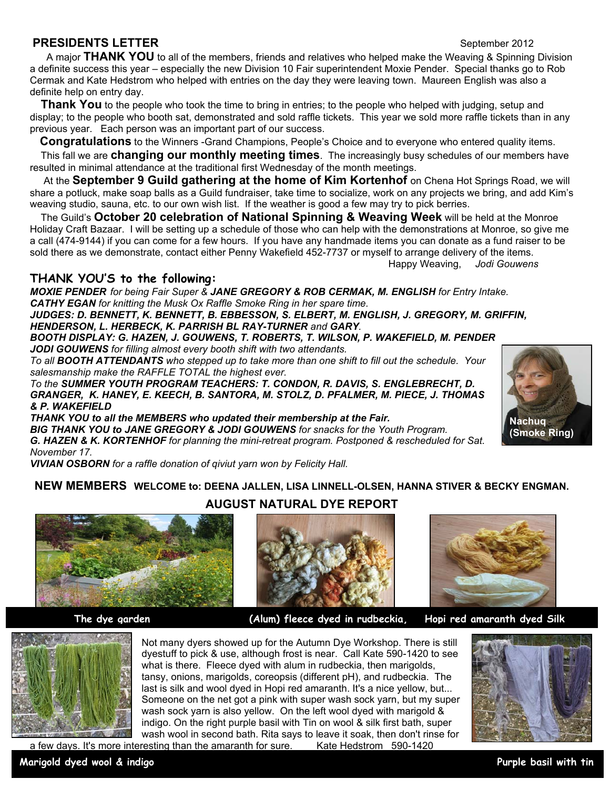#### **PRESIDENTS LETTER** September 2012

 A major **THANK YOU** to all of the members, friends and relatives who helped make the Weaving & Spinning Division a definite success this year – especially the new Division 10 Fair superintendent Moxie Pender. Special thanks go to Rob Cermak and Kate Hedstrom who helped with entries on the day they were leaving town. Maureen English was also a definite help on entry day.

**Thank You** to the people who took the time to bring in entries; to the people who helped with judging, setup and display; to the people who booth sat, demonstrated and sold raffle tickets. This year we sold more raffle tickets than in any previous year. Each person was an important part of our success.

 **Congratulations** to the Winners -Grand Champions, People's Choice and to everyone who entered quality items.

 This fall we are **changing our monthly meeting times**. The increasingly busy schedules of our members have resulted in minimal attendance at the traditional first Wednesday of the month meetings.

At the **September 9 Guild gathering at the home of Kim Kortenhof** on Chena Hot Springs Road, we will share a potluck, make soap balls as a Guild fundraiser, take time to socialize, work on any projects we bring, and add Kim's weaving studio, sauna, etc. to our own wish list. If the weather is good a few may try to pick berries.

 The Guild's **October 20 celebration of National Spinning & Weaving Week** will be held at the Monroe Holiday Craft Bazaar. I will be setting up a schedule of those who can help with the demonstrations at Monroe, so give me a call (474-9144) if you can come for a few hours. If you have any handmade items you can donate as a fund raiser to be sold there as we demonstrate, contact either Penny Wakefield 452-7737 or myself to arrange delivery of the items.

Happy Weaving, *Jodi Gouwens*

#### **THANK YOU'S to the following:**

*MOXIE PENDER for being Fair Super & JANE GREGORY & ROB CERMAK, M. ENGLISH for Entry Intake. CATHY EGAN for knitting the Musk Ox Raffle Smoke Ring in her spare time.* 

*JUDGES: D. BENNETT, K. BENNETT, B. EBBESSON, S. ELBERT, M. ENGLISH, J. GREGORY, M. GRIFFIN, HENDERSON, L. HERBECK, K. PARRISH BL RAY-TURNER and GARY.* 

*BOOTH DISPLAY: G. HAZEN, J. GOUWENS, T. ROBERTS, T. WILSON, P. WAKEFIELD, M. PENDER JODI GOUWENS for filling almost every booth shift with two attendants.* 

*To all BOOTH ATTENDANTS who stepped up to take more than one shift to fill out the schedule. Your salesmanship make the RAFFLE TOTAL the highest ever.* 

*To the SUMMER YOUTH PROGRAM TEACHERS: T. CONDON, R. DAVIS, S. ENGLEBRECHT, D. GRANGER, K. HANEY, E. KEECH, B. SANTORA, M. STOLZ, D. PFALMER, M. PIECE, J. THOMAS & P. WAKEFIELD* 

*THANK YOU to all the MEMBERS who updated their membership at the Fair. BIG THANK YOU to JANE GREGORY & JODI GOUWENS for snacks for the Youth Program. G. HAZEN & K. KORTENHOF for planning the mini-retreat program. Postponed & rescheduled for Sat. November 17.* 

*VIVIAN OSBORN for a raffle donation of qiviut yarn won by Felicity Hall.* 

#### **NEW MEMBERS WELCOME to: DEENA JALLEN, LISA LINNELL-OLSEN, HANNA STIVER & BECKY ENGMAN.**





 **The dye garden (Alum) fleece dyed in rudbeckia, Hopi red amaranth dyed Silk** 



 **Nachuq (Smoke Ring)** 



Not many dyers showed up for the Autumn Dye Workshop. There is still dyestuff to pick & use, although frost is near. Call Kate 590-1420 to see what is there. Fleece dyed with alum in rudbeckia, then marigolds, tansy, onions, marigolds, coreopsis (different pH), and rudbeckia. The last is silk and wool dyed in Hopi red amaranth. It's a nice yellow, but... Someone on the net got a pink with super wash sock yarn, but my super wash sock yarn is also yellow. On the left wool dyed with marigold & indigo. On the right purple basil with Tin on wool & silk first bath, super wash wool in second bath. Rita says to leave it soak, then don't rinse for a few days. It's more interesting than the amaranth for sure. Kate Hedstrom 590-1420

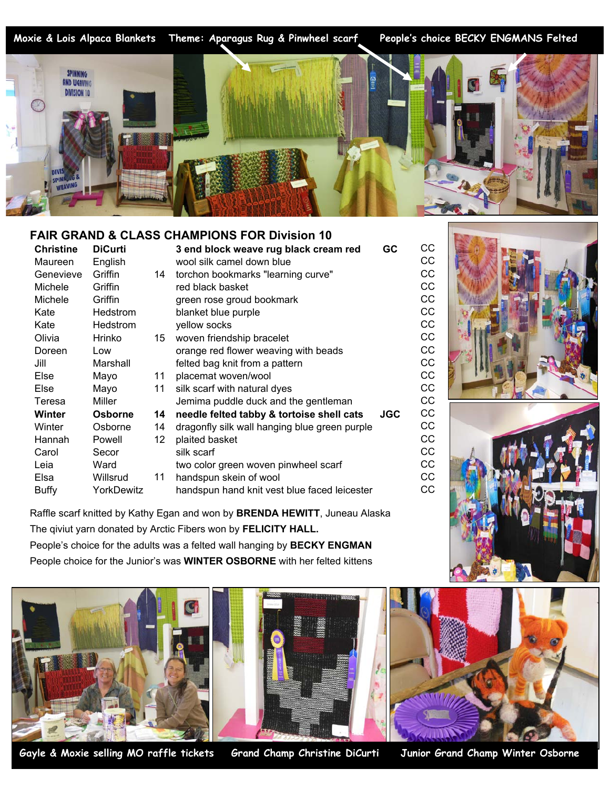Moxie & Lois Alpaca Blankets



#### **FAIR GRAND & CLASS CHAMPIONS FOR Division 10**

| Christine    | <b>DiCurti</b> |    | 3 end block weave rug black cream red         | GC         | <b>CC</b> |
|--------------|----------------|----|-----------------------------------------------|------------|-----------|
| Maureen      | English        |    | wool silk camel down blue                     |            | CС        |
| Genevieve    | Griffin        | 14 | torchon bookmarks "learning curve"            |            | CС        |
| Michele      | Griffin        |    | red black basket                              |            | СC        |
| Michele      | Griffin        |    | green rose groud bookmark                     |            | CC        |
| Kate         | Hedstrom       |    | blanket blue purple                           |            | CC        |
| Kate         | Hedstrom       |    | yellow socks                                  |            | CC        |
| Olivia       | Hrinko         | 15 | woven friendship bracelet                     |            | СC        |
| Doreen       | Low            |    | orange red flower weaving with beads          |            | СC        |
| Jill         | Marshall       |    | felted bag knit from a pattern                |            | СC        |
| Else         | Mayo           | 11 | placemat woven/wool                           |            | CC        |
| Else         | Mayo           | 11 | silk scarf with natural dyes                  |            | CC        |
| Teresa       | Miller         |    | Jemima puddle duck and the gentleman          |            | CC        |
| Winter       | Osborne        | 14 | needle felted tabby & tortoise shell cats     | <b>JGC</b> | CC        |
| Winter       | Osborne        | 14 | dragonfly silk wall hanging blue green purple |            | CС        |
| Hannah       | Powell         | 12 | plaited basket                                |            | СC        |
| Carol        | Secor          |    | silk scarf                                    |            | CC        |
| Leia         | Ward           |    | two color green woven pinwheel scarf          |            | CC        |
| Elsa         | Willsrud       | 11 | handspun skein of wool                        |            | CC        |
| <b>Buffy</b> | YorkDewitz     |    | handspun hand knit vest blue faced leicester  |            | CС        |
|              |                |    |                                               |            |           |

Raffle scarf knitted by Kathy Egan and won by **BRENDA HEWITT**, Juneau Alaska The qiviut yarn donated by Arctic Fibers won by **FELICITY HALL.** People's choice for the adults was a felted wall hanging by **BECKY ENGMAN** People choice for the Junior's was **WINTER OSBORNE** with her felted kittens



**Gayle & Moxie selling MO raffle tickets Grand Champ Christine DiCurti Junior Grand Champ Winter Osborne** 



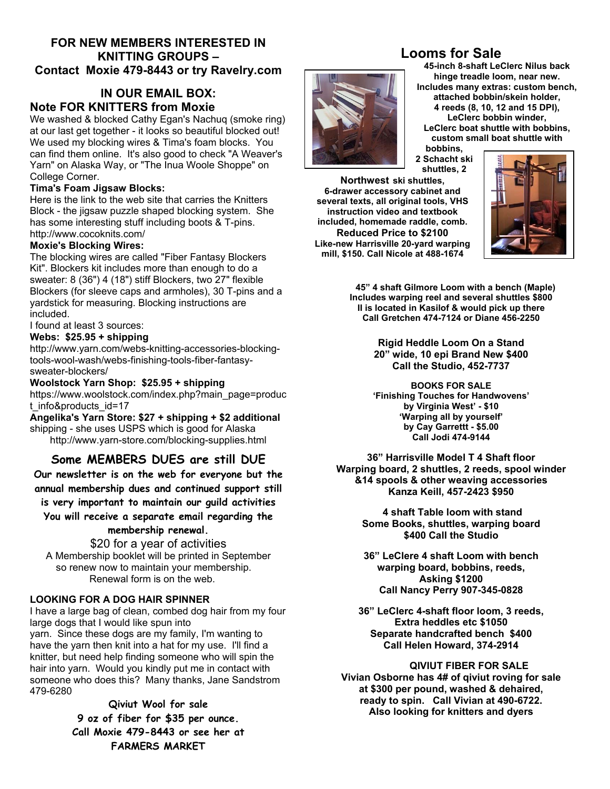#### **FOR NEW MEMBERS INTERESTED IN KNITTING GROUPS – Contact Moxie 479-8443 or try Ravelry.com**

#### **IN OUR EMAIL BOX: Note FOR KNITTERS from Moxie**

We washed & blocked Cathy Egan's Nachuq (smoke ring) at our last get together - it looks so beautiful blocked out! We used my blocking wires & Tima's foam blocks. You can find them online. It's also good to check "A Weaver's Yarn" on Alaska Way, or "The Inua Woole Shoppe" on College Corner.

#### **Tima's Foam Jigsaw Blocks:**

Here is the link to the web site that carries the Knitters Block - the jigsaw puzzle shaped blocking system. She has some interesting stuff including boots & T-pins. http://www.cocoknits.com/

#### **Moxie's Blocking Wires:**

The blocking wires are called "Fiber Fantasy Blockers Kit". Blockers kit includes more than enough to do a sweater: 8 (36") 4 (18") stiff Blockers, two 27" flexible Blockers (for sleeve caps and armholes), 30 T-pins and a yardstick for measuring. Blocking instructions are included.

I found at least 3 sources:

#### **Webs: \$25.95 + shipping**

http://www.yarn.com/webs-knitting-accessories-blockingtools-wool-wash/webs-finishing-tools-fiber-fantasysweater-blockers/

#### **Woolstock Yarn Shop: \$25.95 + shipping**

https://www.woolstock.com/index.php?main\_page=produc t\_info&products\_id=17

**Angelika's Yarn Store: \$27 + shipping + \$2 additional** shipping - she uses USPS which is good for Alaska http://www.yarn-store.com/blocking-supplies.html

#### **Some MEMBERS DUES are still DUE**

**Our newsletter is on the web for everyone but the annual membership dues and continued support still is very important to maintain our guild activities** 

**You will receive a separate email regarding the membership renewal.** 

#### \$20 for a year of activities A Membership booklet will be printed in September so renew now to maintain your membership. Renewal form is on the web.

#### **LOOKING FOR A DOG HAIR SPINNER**

479-6280

I have a large bag of clean, combed dog hair from my four large dogs that I would like spun into yarn. Since these dogs are my family, I'm wanting to have the yarn then knit into a hat for my use. I'll find a knitter, but need help finding someone who will spin the hair into yarn. Would you kindly put me in contact with someone who does this? Many thanks, Jane Sandstrom

> **Qiviut Wool for sale 9 oz of fiber for \$35 per ounce. Call Moxie 479-8443 or see her at FARMERS MARKET**

#### **Looms for Sale**

**45-inch 8-shaft LeClerc Nilus back hinge treadle loom, near new. Includes many extras: custom bench, attached bobbin/skein holder, 4 reeds (8, 10, 12 and 15 DPI), LeClerc bobbin winder, LeClerc boat shuttle with bobbins, custom small boat shuttle with bobbins,** 

**2 Schacht ski shuttles, 2**

**Northwest ski shuttles, 6-drawer accessory cabinet and several texts, all original tools, VHS instruction video and textbook included, homemade raddle, comb. Reduced Price to \$2100 Like-new Harrisville 20-yard warping mill, \$150. Call Nicole at 488-1674**



**45" 4 shaft Gilmore Loom with a bench (Maple) Includes warping reel and several shuttles \$800 II is located in Kasilof & would pick up there Call Gretchen 474-7124 or Diane 456-2250** 

> **Rigid Heddle Loom On a Stand 20" wide, 10 epi Brand New \$400 Call the Studio, 452-7737**

> **BOOKS FOR SALE 'Finishing Touches for Handwovens' by Virginia West' - \$10 'Warping all by yourself' by Cay Garrettt - \$5.00 Call Jodi 474-9144**

**36" Harrisville Model T 4 Shaft floor Warping board, 2 shuttles, 2 reeds, spool winder &14 spools & other weaving accessories Kanza Keill, 457-2423 \$950** 

> **4 shaft Table loom with stand Some Books, shuttles, warping board \$400 Call the Studio**

**36" LeClere 4 shaft Loom with bench warping board, bobbins, reeds, Asking \$1200 Call Nancy Perry 907-345-0828** 

**36" LeClerc 4-shaft floor loom, 3 reeds, Extra heddles etc \$1050 Separate handcrafted bench \$400 Call Helen Howard, 374-2914** 

#### **QIVIUT FIBER FOR SALE**

**Vivian Osborne has 4# of qiviut roving for sale at \$300 per pound, washed & dehaired, ready to spin. Call Vivian at 490-6722. Also looking for knitters and dyers**